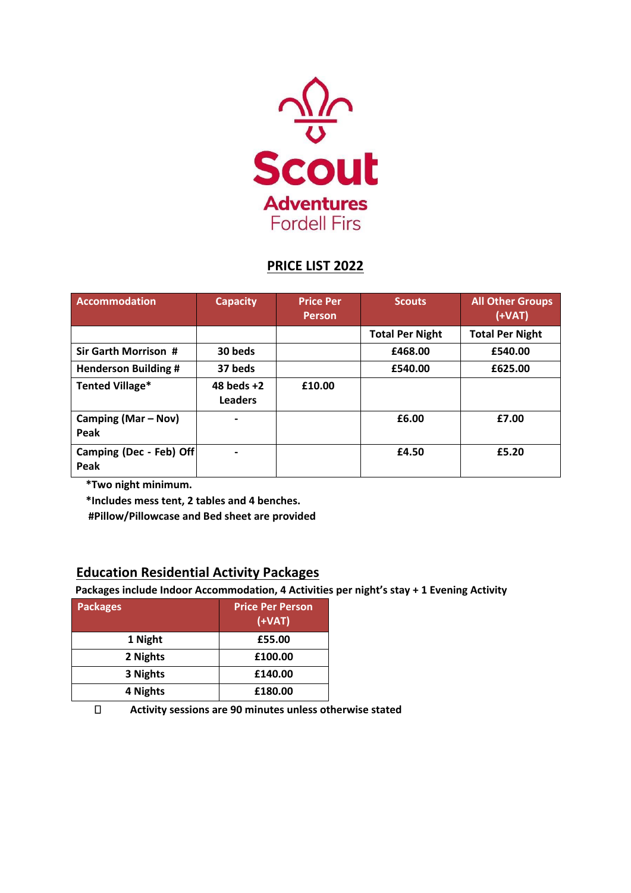

## **PRICE LIST 2022**

| <b>Accommodation</b>            | <b>Capacity</b>                | <b>Price Per</b><br><b>Person</b> | <b>Scouts</b>          | <b>All Other Groups</b><br>$(+VAT)$ |
|---------------------------------|--------------------------------|-----------------------------------|------------------------|-------------------------------------|
|                                 |                                |                                   | <b>Total Per Night</b> | <b>Total Per Night</b>              |
| <b>Sir Garth Morrison #</b>     | 30 beds                        |                                   | £468.00                | £540.00                             |
| <b>Henderson Building #</b>     | 37 beds                        |                                   | £540.00                | £625.00                             |
| <b>Tented Village*</b>          | 48 beds $+2$<br><b>Leaders</b> | £10.00                            |                        |                                     |
| Camping (Mar – Nov)<br>Peak     |                                |                                   | £6.00                  | £7.00                               |
| Camping (Dec - Feb) Off<br>Peak |                                |                                   | £4.50                  | £5.20                               |

**\*Two night minimum.**

**\*Includes mess tent, 2 tables and 4 benches.** 

**#Pillow/Pillowcase and Bed sheet are provided**

## **Education Residential Activity Packages**

**Packages include Indoor Accommodation, 4 Activities per night's stay + 1 Evening Activity** 

| <b>Packages</b> | <b>Price Per Person</b><br>$(+VAT)$ |
|-----------------|-------------------------------------|
| 1 Night         | £55.00                              |
| 2 Nights        | £100.00                             |
| 3 Nights        | £140.00                             |
| 4 Nights        | £180.00                             |

 $\Box$ **Activity sessions are 90 minutes unless otherwise stated**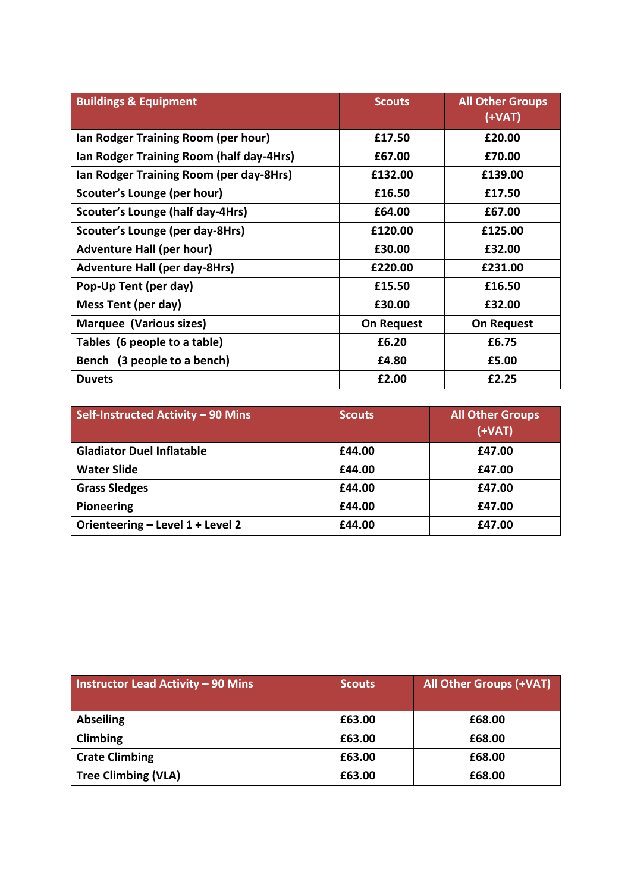| <b>Buildings &amp; Equipment</b>         | <b>Scouts</b>     | <b>All Other Groups</b><br>$(+VAT)$ |
|------------------------------------------|-------------------|-------------------------------------|
| Ian Rodger Training Room (per hour)      | £17.50            | £20.00                              |
| Ian Rodger Training Room (half day-4Hrs) | £67.00            | £70.00                              |
| Ian Rodger Training Room (per day-8Hrs)  | £132.00           | £139.00                             |
| Scouter's Lounge (per hour)              | £16.50            | £17.50                              |
| <b>Scouter's Lounge (half day-4Hrs)</b>  | £64.00            | £67.00                              |
| Scouter's Lounge (per day-8Hrs)          | £120.00           | £125.00                             |
| <b>Adventure Hall (per hour)</b>         | £30.00            | £32.00                              |
| <b>Adventure Hall (per day-8Hrs)</b>     | £220.00           | £231.00                             |
| Pop-Up Tent (per day)                    | £15.50            | £16.50                              |
| Mess Tent (per day)                      | £30.00            | £32.00                              |
| Marquee (Various sizes)                  | <b>On Request</b> | <b>On Request</b>                   |
| Tables (6 people to a table)             | £6.20             | £6.75                               |
| Bench (3 people to a bench)              | £4.80             | £5.00                               |
| <b>Duvets</b>                            | £2.00             | £2.25                               |

| Self-Instructed Activity - 90 Mins | <b>Scouts</b> | <b>All Other Groups</b><br>$(+VAT)$ |
|------------------------------------|---------------|-------------------------------------|
| <b>Gladiator Duel Inflatable</b>   | £44.00        | £47.00                              |
| <b>Water Slide</b>                 | £44.00        | £47.00                              |
| <b>Grass Sledges</b>               | £44.00        | £47.00                              |
| Pioneering                         | £44.00        | £47.00                              |
| Orienteering - Level 1 + Level 2   | £44.00        | £47.00                              |

| <b>Instructor Lead Activity - 90 Mins</b> | <b>Scouts</b> | <b>All Other Groups (+VAT)</b> |
|-------------------------------------------|---------------|--------------------------------|
| <b>Abseiling</b>                          | £63.00        | £68.00                         |
| Climbing                                  | £63.00        | £68.00                         |
| <b>Crate Climbing</b>                     | £63.00        | £68.00                         |
| <b>Tree Climbing (VLA)</b>                | £63.00        | £68.00                         |